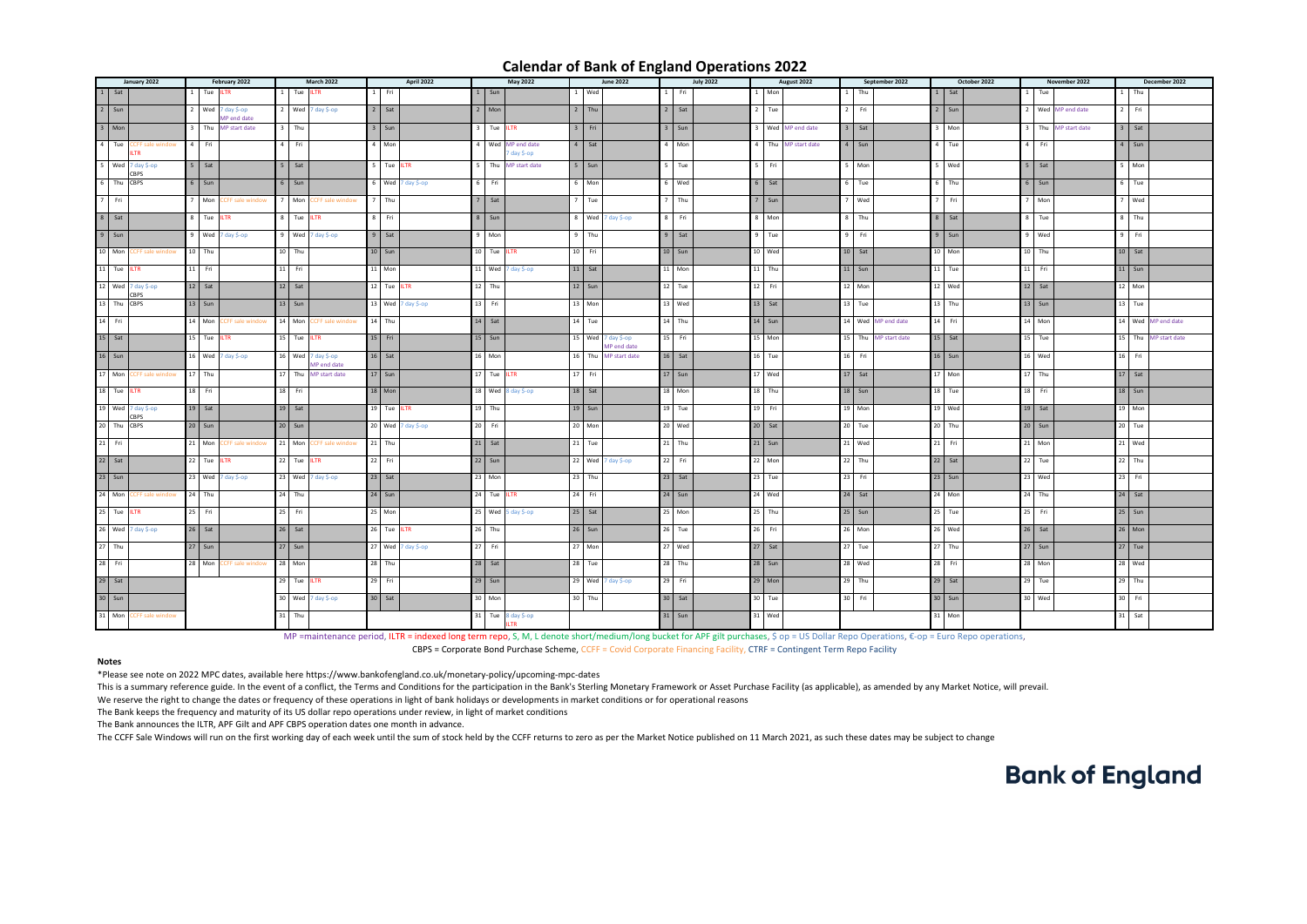This is a summary reference guide. In the event of a conflict, the Terms and Conditions for the participation in the Bank's Sterling Monetary Framework or Asset Purchase Facility (as applicable), as amended by any Market N We reserve the right to change the dates or frequency of these operations in light of bank holidays or developments in market conditions or for operational reasons The Bank keeps the frequency and maturity of its US dollar repo operations under review, in light of market conditions

| January 2022                  | February 2022                                 | <b>March 2022</b>                            | April 2022                       | May 2022                              | <b>June 2022</b>                               | <b>July 2022</b>   | August 2022<br>September 2022    | October 2022            | November 2022       | December 2022        |
|-------------------------------|-----------------------------------------------|----------------------------------------------|----------------------------------|---------------------------------------|------------------------------------------------|--------------------|----------------------------------|-------------------------|---------------------|----------------------|
| 1 Sat                         | Tue ILTR                                      | Tue ILTR                                     | $1$ Fri                          | $1$ Sun                               | 1 Wed                                          | $1$ Fri            | Thu<br>Mon                       | Sat                     | Tue                 | Thu                  |
| $2 \sin$                      | 2 $\sqrt{4 \cdot 7}$ day \$-op<br>AP end date | 2 $\sqrt{2}$ Wed $\sqrt{7}$ day \$-op        | $2$ Sat                          | $2$ Mon                               | $\sqrt{2}$ Thu                                 | $\overline{2}$ Sat | $\sqrt{2}$ Tue<br>2   Fri        | $\boxed{2}$ Sun         | 2 Wed MP end date   | $2$ Fri              |
| $3$ Mon                       | Thu MP start date                             | $3$ Thu                                      | $3 \mid$ Sun                     | 3 Tue ILTR                            | $3$ Fri                                        | $3$ Sun            | 3 Wed MP end date<br>$3$ Sat     | $\mathbf{R}$<br>  Mon   | 3 Thu MP start date | $3$ Sat              |
| $4$ Tue<br>CFF sale window    | Fri                                           | $4$ Fri                                      | 4 Mon                            | 4 Wed MP end date<br>7 day \$-op      | $4$ Sat                                        | $4$ Mon            | Thu MP start date<br>4   Sun     | $4$ Tue                 | 4 I<br>Fri          | $4$ Sun              |
| $5$ Wed $7$ day \$-op<br>CBPS | $5$ Sat                                       | $5$ Sat                                      | $5$ Tue ILTR                     | 5 Thu MP start date                   | $5$ Sun                                        | $\overline{5}$ Tue | 5 L Fri<br>  Mon                 | 5 Wed                   | $5 \mid$ Sat        | $5$ Mon              |
| 6 Thu CBPS                    | $6$ Sun                                       | $6 \mid$ Sun                                 | $\overline{6}$ Wed 7 day \$-op   | 6 Fri                                 | 6 Mon                                          | 6 Wed              | $6$ Sat<br>6 Tue                 | $6$ Thu                 | $6 \mid$ Sun        | $6$ Tue              |
| $7$ Fri                       | Mon<br>CFF sale window.                       | Mon<br>CFF sale window                       | $\overline{7}$ Thu               | $7 \mid \mathsf{Sat}$                 | $7$ Tue                                        | $7$ Thu            | $7$ Wed<br>7 <sup>1</sup><br>Sun | 7 <sup>1</sup><br>l Fri | Mon                 | $7$ Wed              |
| 8 Sat                         | 8   Tue ILTR                                  | 8 Tue ILTR                                   | 8 Fri                            | $8 \mid$ Sun                          | $\boxed{8}$ Wed $\boxed{7}$ day \$-op          | $8$ Fri            | 8 Mon<br>8 Thu                   | 8   Sat                 | 8   Tue             | 8 Thu                |
| $9$ Sun                       | $9$ Wed $7$ day \$-op                         | $\boxed{9}$ Wed $\boxed{7}$ day \$-op        | $9$ Sat                          | 9 Mon                                 | $\sqrt{9}$ Thu                                 | $9$ Sat            | 9<br>9   Fri<br>Tue              | $9$ Sun                 | 9 Wed               | 9 Fri                |
| 10 Mon<br>CFF sale window:    | $10$ Thu                                      | $10$ Thu                                     | $10$ Sun                         | 10 Tue ILTR                           | 10 Fri                                         | $10$ Sun           | 10 Wed<br>10 Sat                 | $10$ Mon                | $10$ Thu            | $10$ Sat             |
| 11 Tue ILTR                   | $11$ Fri                                      | $11$ Fri                                     | $11$ Mon                         | 11 Wed $7$ day \$-op                  | $11$ Sat                                       | $11$ Mon           | $11$ Thu<br>$11$ Sun             | $11$ Tue                | $11$ Fri            | $11$ Sun             |
| 12 Wed $7$ day \$-op          | $12$ Sat                                      | $12$ Sat                                     | $12$ Tue ILTR                    | $12$ Thu                              | $12$ Sun                                       | $12$ Tue           | 12 Fri<br>12 Mon                 | $12$ Wed                | $12$ Sat            | $12$ Mon             |
| 13 Thu CBPS                   | $13$ Sun                                      | $13$ Sun                                     | $13$ Wed $7$ day \$-op           | 13 Fri                                | $13$ Mon                                       | 13 Wed             | $13$ Sat<br>$13$ Tue             | $13$ Thu                | $13$ Sun            | $13$ Tue             |
| $14$ Fri                      | $14$ Mon<br>CFF sale window                   | 14 Mon CCFF sale window                      | $14$ Thu                         | $14$ Sat                              | $\sqrt{14}$ Tue                                | $14$ Thu           | $14$ Sun<br>14 Wed MP end date   | 14 Fri                  | $14$ Mon            | 14 Wed MP end date   |
| $15$ Sat                      | 15 Tue ILTR                                   | 15 Tue ILTR                                  | $15$ Fri                         | $15$ Sun                              | 15 Wed $\overline{7}$ day \$-op<br>AP end date | 15 Fri             | 15 Thu MP start date<br>$15$ Mon | $15$ Sat                | $\overline{15}$ Tue | 15 Thu MP start date |
| 16 Sun                        | $16$ Wed $7$ day \$-op                        | $16$ Wed $7$ day \$-op<br><b>MP</b> end date | $16$ Sat                         | 16 Mon                                | 16 Thu MP start date                           | 16 Sat             | 16<br>16 Fri<br>Tue              | 16 Sun                  | $16$ Wed            | 16 Fri               |
| $17$ Mon<br>CFF sale window:  | $17$ Thu                                      | 17 Thu MP start date                         | $17$ Sun                         | 17 Tue ILTR                           | $17$ Fri                                       | $17$ Sun           | $17$ Wed<br>$17$ Sat             | $17$ Mon                | $17$ Thu            | $17$ Sat             |
| 18 Tue ILTR                   | 18   Fri                                      | $18$ Fri                                     | $18$ Mon                         | $18$ Wed $8$ day \$-op                | $18$ Sat                                       | $18$ Mon           | $18$ Thu<br>18 Sun               | $\sqrt{18}$ Tue         | 18 Fri              | $18$ Sun             |
| 19 Wed $7$ day \$-op          | $19$ Sat                                      | $19$ Sat                                     | 19 Tue ILTR                      | $19$ Thu                              | $19$ Sun                                       | $19$ Tue           | 19 Fri<br>19 Mon                 | $19$ Wed                | 19 Sat              | $19$ Mon             |
| 20 Thu CBPS                   | $20$ Sun                                      | $20$ Sun                                     | 20 $\sqrt{4 \times 7}$ day \$-op | 20 Fri                                | $20$ Mon                                       | $20$ Wed           | 20 Tue<br>20 Sat                 | $20$ Thu                | $20$ Sun            | $20$ Tue             |
| $21$ Fri                      | Mon<br>21 <sup>1</sup><br>CFF sale window     | 21 Mon CCFF sale window                      | $21$ Thu                         | $21$ Sat                              | $21$ Tue                                       | $21$ Thu           | $21$ Sun<br>21 Wed               | $21$ Fri                | $\boxed{21}$ Mon    | 21 Wed               |
| 22 Sat<br>23 Sun              | 22 Tue ILTR                                   | 22 Tue ILTR                                  | $22$ Fri                         | $22$ Sun                              | 22 Wed $7$ day \$-op                           | $22$ Fri           | $22$ Mon<br>$22$ Thu             | $22$ Sat                | $\sqrt{22}$ Tue     | $22$ Thu             |
| 24 Mon CCFF sale window       | 23 Wed 7 day \$-op                            | 23 Wed $\overline{7}$ day \$-op              | $23$ Sat                         | 23 Mon                                | $23$ Thu                                       | $23$ Sat           | $23$ Tue<br>23 Fri               | $23$ Sun                | $23$ Wed            | $23$ Fri             |
|                               | $24$ Thu                                      | $24$ Thu                                     | $24$ Sun                         | 24 Tue ILTR                           | $24$ Fri                                       | $24$ Sun           | $24$ Wed<br>$24$ Sat             | $24$ Mon                | $24$ Thu            | $24$ Sat             |
| 25 Tue ILTR                   | $25$ Fri                                      | $25$ Fri                                     | 25 Mon                           | 25 Wed $5$ day \$-op                  | $25$ Sat                                       | $25$ Mon           | $25$ Thu<br>$25$ Sun             | $25$ Tue                | $\sqrt{25}$ Fri     | $25$ Sun             |
| $26$ Wed $7$ day \$-op        | $26$ Sat                                      | $26$ Sat                                     | 26 Tue ILTR                      | $26$ Thu                              | $26$ Sun                                       | $26$ Tue           | 26 Fri<br>26 Mon                 | $26$ Wed                | $26$ Sat            | $26$ Mon             |
| $27$ Thu<br>28 Fri            | $27$ Sun                                      | $27$ Sun                                     | 27 Wed $7$ day \$-op             | $27$ Fri                              | $\overline{27}$ Mon                            | 27 Wed             | $27$ Sat<br>$\sqrt{27}$ Tue      | $27$ Thu                | $\boxed{27}$ Sun    | $27$ Tue             |
|                               | $28$ Mon<br><b>CCFF sale window</b>           | $28$ Mon                                     | $28$ Thu                         | 28 Sat                                | $28$ Tue                                       | $28$ Thu           | $28$ Sun<br>28 Wed               | $28$ Fri                | $\sqrt{28}$ Mon     | 28 Wed               |
| 29 Sat<br>$\overline{30}$ Sun |                                               | 29 Tue ILTR                                  | $29$ Fri                         | $29$ Sun                              | 29 Wed $\overline{7}$ day \$-op                | $29$ Fri           | $29$ Mon<br>$29$ Thu             | $29$ Sat                | $29$ Tue            | $29$ Thu             |
|                               |                                               | $30$ Wed $7$ day \$-op                       | $30$ Sat                         | 30 Mon                                | $30$ Thu                                       | $30$ Sat           | 30 Tue<br>$30$ Fri               | $30 \mid$ Sun           | 30 Wed              | 30 Fri               |
| 31 Mon CCFF sale window       |                                               | $31$ Thu                                     |                                  | $31$ Tue $8$ day \$-op<br><b>ILTR</b> |                                                | $31$ Sun           | $31$ Wed                         | $31$ Mon                |                     | $31$ Sat             |

MP =maintenance period, ILTR = indexed long term repo, S, M, L denote short/medium/long bucket for APF gilt purchases, \$ op = US Dollar Repo Operations, €-op = Euro Repo operations,

## **Notes**

\*Please see note on 2022 MPC dates, available here https://www.bankofengland.co.uk/monetary-policy/upcoming-mpc-dates

The Bank announces the ILTR, APF Gilt and APF CBPS operation dates one month in advance.

The CCFF Sale Windows will run on the first working day of each week until the sum of stock held by the CCFF returns to zero as per the Market Notice published on 11 March 2021, as such these dates may be subject to change

## **Bank of England**

CBPS = Corporate Bond Purchase Scheme, CCFF = Covid Corporate Financing Facility, CTRF = Contingent Term Repo Facility

## **Calendar of Bank of England Operations 2022**